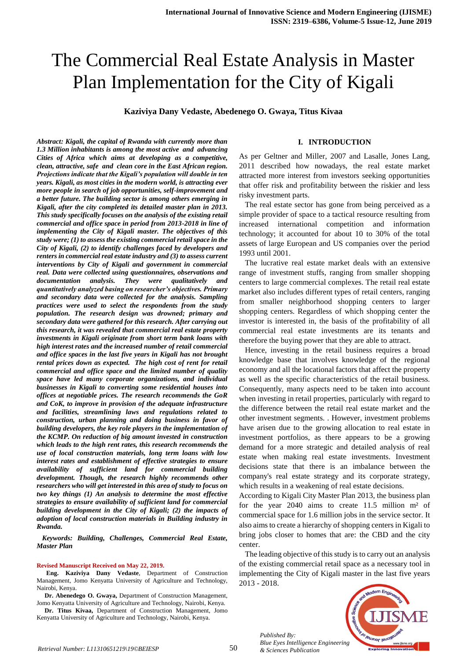# The Commercial Real Estate Analysis in Master Plan Implementation for the City of Kigali

**Kaziviya Dany Vedaste, Abedenego O. Gwaya, Titus Kivaa** 

#### **I. INTRODUCTION**

*Abstract: Kigali, the capital of Rwanda with currently more than 1.3 Million inhabitants is among the most active and advancing Cities of Africa which aims at developing as a competitive, clean, attractive, safe and clean core in the East African region. Projections indicate that the Kigali's population will double in ten years. Kigali, as most cities in the modern world, is attracting ever more people in search of job opportunities, self-improvement and a better future. The building sector is among others emerging in Kigali, after the city completed its detailed master plan in 2013. This study specifically focuses on the analysis of the existing retail commercial and office space in period from 2013-2018 in line of implementing the City of Kigali master. The objectives of this study were; (1) to assess the existing commercial retail space in the City of Kigali, (2) to identify challenges faced by developers and renters in commercial real estate industry and (3) to assess current interventions by City of Kigali and government in commercial real. Data were collected using questionnaires, observations and documentation analysis. They were qualitatively and quantitatively analyzed basing on researcher's objectives. Primary and secondary data were collected for the analysis. Sampling practices were used to select the respondents from the study population. The research design was drowned; primary and secondary data were gathered for this research. After carrying out this research, it was revealed that commercial real estate property investments in Kigali originate from short term bank loans with high interest rates and the increased number of retail commercial and office spaces in the last five years in Kigali has not brought rental prices down as expected. The high cost of rent for retail commercial and office space and the limited number of quality space have led many corporate organizations, and individual businesses in Kigali to converting some residential houses into offices at negotiable prices. The research recommends the GoR and CoK, to improve in provision of the adequate infrastructure and facilities, streamlining laws and regulations related to construction, urban planning and doing business in favor of building developers, the key role players in the implementation of the KCMP. On reduction of big amount invested in construction which leads to the high rent rates, this research recommends the use of local construction materials, long term loans with low interest rates and establishment of effective strategies to ensure availability of sufficient land for commercial building development. Though, the research highly recommends other researchers who will get interested in this area of study to focus on two key things (1) An analysis to determine the most effective strategies to ensure availability of sufficient land for commercial building development in the City of Kigali; (2) the impacts of adoption of local construction materials in Building industry in Rwanda.*

 *Keywords: Building, Challenges, Commercial Real Estate, Master Plan*

#### **Revised Manuscript Received on May 22, 2019.**

**Eng. Kaziviya Dany Vedaste**, Department of Construction Management, Jomo Kenyatta University of Agriculture and Technology, Nairobi, Kenya.

**Dr. Abenedego O. Gwaya,** Department of Construction Management, Jomo Kenyatta University of Agriculture and Technology, Nairobi, Kenya.

**Dr. Titus Kivaa,** Department of Construction Management, Jomo Kenyatta University of Agriculture and Technology, Nairobi, Kenya.

As per Geltner and Miller, 2007 and Lasalle, Jones Lang, 2011 described how nowadays, the real estate market attracted more interest from investors seeking opportunities that offer risk and profitability between the riskier and less risky investment parts.

 The real estate sector has gone from being perceived as a simple provider of space to a tactical resource resulting from increased international competition and information technology; it accounted for about 10 to 30% of the total assets of large European and US companies over the period 1993 until 2001.

 The lucrative real estate market deals with an extensive range of investment stuffs, ranging from smaller shopping centers to large commercial complexes. The retail real estate market also includes different types of retail centers, ranging from smaller neighborhood shopping centers to larger shopping centers. Regardless of which shopping center the investor is interested in, the basis of the profitability of all commercial real estate investments are its tenants and therefore the buying power that they are able to attract.

 Hence, investing in the retail business requires a broad knowledge base that involves knowledge of the regional economy and all the locational factors that affect the property as well as the specific characteristics of the retail business. Consequently, many aspects need to be taken into account when investing in retail properties, particularly with regard to the difference between the retail real estate market and the other investment segments. . However, investment problems have arisen due to the growing allocation to real estate in investment portfolios, as there appears to be a growing demand for a more strategic and detailed analysis of real estate when making real estate investments. Investment decisions state that there is an imbalance between the company's real estate strategy and its corporate strategy, which results in a weakening of real estate decisions.

According to Kigali City Master Plan 2013, the business plan for the year 2040 aims to create 11.5 million m² of commercial space for 1.6 million jobs in the service sector. It also aims to create a hierarchy of shopping centers in Kigali to bring jobs closer to homes that are: the CBD and the city center.

 The leading objective of this study is to carry out an analysis of the existing commercial retail space as a necessary tool in implementing the City of Kigali master in the last five years 2013 - 2018.



*Published By: Blue Eyes Intelligence Engineering*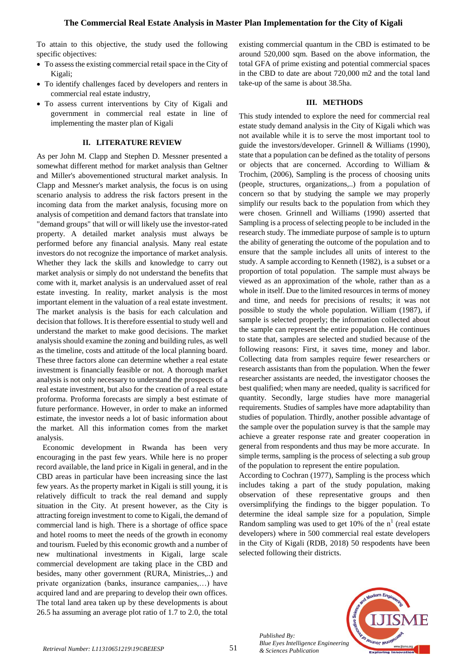To attain to this objective, the study used the following specific objectives:

- To assess the existing commercial retail space in the City of Kigali;
- To identify challenges faced by developers and renters in commercial real estate industry,
- To assess current interventions by City of Kigali and government in commercial real estate in line of implementing the master plan of Kigali

#### **II. LITERATURE REVIEW**

As per John M. Clapp and Stephen D. Messner presented a somewhat different method for market analysis than Geltner and Miller's abovementioned structural market analysis. In Clapp and Messner's market analysis, the focus is on using scenario analysis to address the risk factors present in the incoming data from the market analysis, focusing more on analysis of competition and demand factors that translate into "demand groups" that will or will likely use the investor-rated property. A detailed market analysis must always be performed before any financial analysis. Many real estate investors do not recognize the importance of market analysis. Whether they lack the skills and knowledge to carry out market analysis or simply do not understand the benefits that come with it, market analysis is an undervalued asset of real estate investing. In reality, market analysis is the most important element in the valuation of a real estate investment. The market analysis is the basis for each calculation and decision that follows. It is therefore essential to study well and understand the market to make good decisions. The market analysis should examine the zoning and building rules, as well as the timeline, costs and attitude of the local planning board. These three factors alone can determine whether a real estate investment is financially feasible or not. A thorough market analysis is not only necessary to understand the prospects of a real estate investment, but also for the creation of a real estate proforma. Proforma forecasts are simply a best estimate of future performance. However, in order to make an informed estimate, the investor needs a lot of basic information about the market. All this information comes from the market analysis.

 Economic development in Rwanda has been very encouraging in the past few years. While here is no proper record available, the land price in Kigali in general, and in the CBD areas in particular have been increasing since the last few years. As the property market in Kigali is still young, it is relatively difficult to track the real demand and supply situation in the City. At present however, as the City is attracting foreign investment to come to Kigali, the demand of commercial land is high. There is a shortage of office space and hotel rooms to meet the needs of the growth in economy and tourism. Fueled by this economic growth and a number of new multinational investments in Kigali, large scale commercial development are taking place in the CBD and besides, many other government (RURA, Ministries,..) and private organization (banks, insurance campanies,…) have acquired land and are preparing to develop their own offices. The total land area taken up by these developments is about 26.5 ha assuming an average plot ratio of 1.7 to 2.0, the total existing commercial quantum in the CBD is estimated to be around 520,000 sqm. Based on the above information, the total GFA of prime existing and potential commercial spaces in the CBD to date are about 720,000 m2 and the total land take-up of the same is about 38.5ha.

#### **III. METHODS**

This study intended to explore the need for commercial real estate study demand analysis in the City of Kigali which was not available while it is to serve the most important tool to guide the investors/developer. Grinnell & Williams (1990), state that a population can be defined as the totality of persons or objects that are concerned. According to William & Trochim, (2006), Sampling is the process of choosing units (people, structures, organizations,..) from a population of concern so that by studying the sample we may properly simplify our results back to the population from which they were chosen. Grinnell and Williams (1990) asserted that Sampling is a process of selecting people to be included in the research study. The immediate purpose of sample is to upturn the ability of generating the outcome of the population and to ensure that the sample includes all units of interest to the study. A sample according to Kenneth (1982), is a subset or a proportion of total population. The sample must always be viewed as an approximation of the whole, rather than as a whole in itself. Due to the limited resources in terms of money and time, and needs for precisions of results; it was not possible to study the whole population. William (1987), if sample is selected properly; the information collected about the sample can represent the entire population. He continues to state that, samples are selected and studied because of the following reasons: First, it saves time, money and labor. Collecting data from samples require fewer researchers or research assistants than from the population. When the fewer researcher assistants are needed, the investigator chooses the best qualified; when many are needed, quality is sacrificed for quantity. Secondly, large studies have more managerial requirements. Studies of samples have more adaptability than studies of population. Thirdly, another possible advantage of the sample over the population survey is that the sample may achieve a greater response rate and greater cooperation in general from respondents and thus may be more accurate. In simple terms, sampling is the process of selecting a sub group of the population to represent the entire population.

According to Cochran (1977), Sampling is the process which includes taking a part of the study population, making observation of these representative groups and then oversimplifying the findings to the bigger population. To determine the ideal sample size for a population, Simple Random sampling was used to get  $10\%$  of the n<sup>1</sup> (real estate developers) where in 500 commercial real estate developers in the City of Kigali (RDB, 2018) 50 respodents have been selected following their districts.

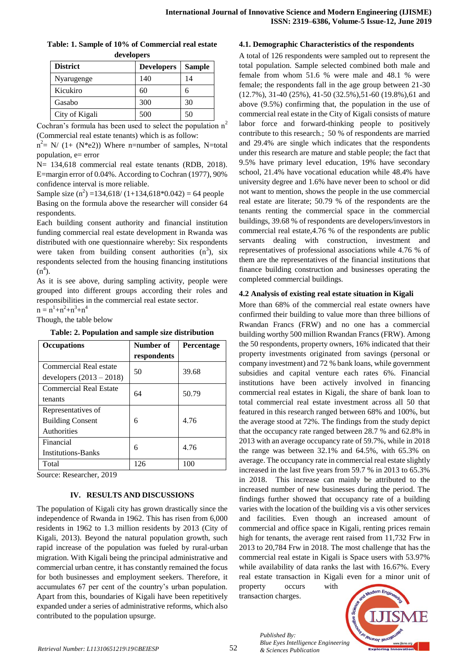| Table: 1. Sample of 10% of Commercial real estate |  |
|---------------------------------------------------|--|
| developers                                        |  |

| $\mathbf{u}$ . $\mathbf{u}$ |                   |               |  |
|-----------------------------|-------------------|---------------|--|
| <b>District</b>             | <b>Developers</b> | <b>Sample</b> |  |
| Nyarugenge                  | 140               | 14            |  |
| Kicukiro                    | 60                | 6             |  |
| Gasabo                      | 300               | 30            |  |
| City of Kigali              | 500               | 50            |  |

Cochran's formula has been used to select the population  $n^2$ (Commercial real estate tenants) which is as follow:

 $n^2$  = N/ (1+ (N<sup>\*</sup>e2)) Where n=number of samples, N=total population,  $e=$  error

N= 134,618 commercial real estate tenants (RDB, 2018). E=margin error of 0.04%. According to Cochran (1977), 90% confidence interval is more reliable.

Sample size  $(n^2)$  =134,618/ (1+134,618\*0.042) = 64 people Basing on the formula above the researcher will consider 64 respondents.

Each building consent authority and financial institution funding commercial real estate development in Rwanda was distributed with one questionnaire whereby: Six respondents were taken from building consent authorities  $(n^3)$ , six respondents selected from the housing financing institutions  $(n<sup>4</sup>)$ .

As it is see above, during sampling activity, people were grouped into different groups according their roles and responsibilities in the commercial real estate sector.

 $n = n^1 + n^2 + n^3 + n^4$ 

Though, the table below

**Table: 2. Population and sample size distribution**

| <b>Occupations</b>                                           | Number of<br>respondents | Percentage |
|--------------------------------------------------------------|--------------------------|------------|
| Commercial Real estate<br>developers $(2013 - 2018)$         | 50                       | 39.68      |
| <b>Commercial Real Estate</b><br>tenants                     | 64                       | 50.79      |
| Representatives of<br><b>Building Consent</b><br>Authorities | 6                        | 4.76       |
| Financial<br><b>Institutions-Banks</b>                       | 6                        | 4.76       |
| Total                                                        | 126                      | 100        |

Source: Researcher, 2019

## **IV. RESULTS AND DISCUSSIONS**

The population of Kigali city has grown drastically since the independence of Rwanda in 1962. This has risen from 6,000 residents in 1962 to 1.3 million residents by 2013 (City of Kigali, 2013). Beyond the natural population growth, such rapid increase of the population was fueled by rural-urban migration. With Kigali being the principal administrative and commercial urban centre, it has constantly remained the focus for both businesses and employment seekers. Therefore, it accumulates 67 per cent of the country's urban population. Apart from this, boundaries of Kigali have been repetitively expanded under a series of administrative reforms, which also contributed to the population upsurge.

## **4.1. Demographic Characteristics of the respondents**

A total of 126 respondents were sampled out to represent the total population. Sample selected combined both male and female from whom 51.6 % were male and 48.1 % were female; the respondents fall in the age group between 21-30 (12.7%), 31-40 (25%), 41-50 (32.5%),51-60 (19.8%),61 and above (9.5%) confirming that, the population in the use of commercial real estate in the City of Kigali consists of mature labor force and forward-thinking people to positively contribute to this research.; 50 % of respondents are married and 29.4% are single which indicates that the respondents under this research are mature and stable people; the fact that 9.5% have primary level education, 19% have secondary school, 21.4% have vocational education while 48.4% have university degree and 1.6% have never been to school or did not want to mention, shows the people in the use commercial real estate are literate; 50.79 % of the respondents are the tenants renting the commercial space in the commercial buildings, 39.68 % of respondents are developers/investors in commercial real estate,4.76 % of the respondents are public servants dealing with construction, investment and representatives of professional associations while 4.76 % of them are the representatives of the financial institutions that finance building construction and businesses operating the completed commercial buildings.

## **4.2 Analysis of existing real estate situation in Kigali**

More than 68% of the commercial real estate owners have confirmed their building to value more than three billions of Rwandan Francs (FRW) and no one has a commercial building worthy 500 million Rwandan Francs (FRW). Among the 50 respondents, property owners, 16% indicated that their property investments originated from savings (personal or company investment) and 72 % bank loans, while government subsidies and capital venture each rates 6%. Financial institutions have been actively involved in financing commercial real estates in Kigali, the share of bank loan to total commercial real estate investment across all 50 that featured in this research ranged between 68% and 100%, but the average stood at 72%. The findings from the study depict that the occupancy rate ranged between 28.7 % and 62.8% in 2013 with an average occupancy rate of 59.7%, while in 2018 the range was between 32.1% and 64.5%, with 65.3% on average. The occupancy rate in commercial real estate slightly increased in the last five years from 59.7 % in 2013 to 65.3% in 2018. This increase can mainly be attributed to the increased number of new businesses during the period. The findings further showed that occupancy rate of a building varies with the location of the building vis a vis other services and facilities. Even though an increased amount of commercial and office space in Kigali, renting prices remain high for tenants, the average rent raised from 11,732 Frw in 2013 to 20,784 Frw in 2018. The most challenge that has the commercial real estate in Kigali is Space users with 53.97% while availability of data ranks the last with 16.67%. Every real estate transaction in Kigali even for a minor unit of

property occurs with transaction charges.

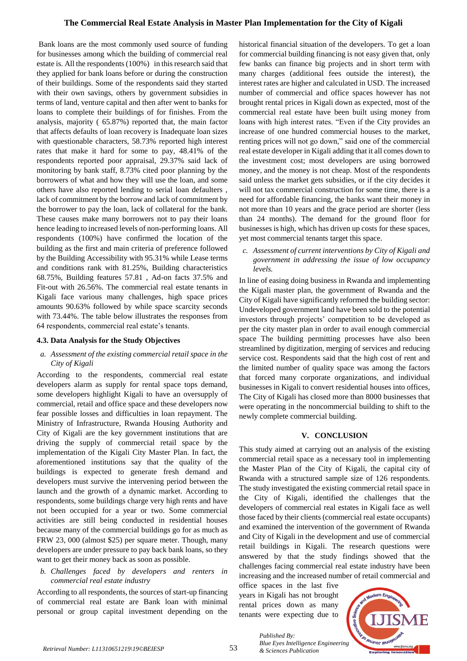## **The Commercial Real Estate Analysis in Master Plan Implementation for the City of Kigali**

Bank loans are the most commonly used source of funding for businesses among which the building of commercial real estate is. All the respondents (100%) in this research said that they applied for bank loans before or during the construction of their buildings. Some of the respondents said they started with their own savings, others by government subsidies in terms of land, venture capital and then after went to banks for loans to complete their buildings of for finishes. From the analysis, majority ( 65.87%) reported that, the main factor that affects defaults of loan recovery is Inadequate loan sizes with questionable characters, 58.73% reported high interest rates that make it hard for some to pay, 48.41% of the respondents reported poor appraisal, 29.37% said lack of monitoring by bank staff, 8.73% cited poor planning by the borrowers of what and how they will use the loan, and some others have also reported lending to serial loan defaulters , lack of commitment by the borrow and lack of commitment by the borrower to pay the loan, lack of collateral for the bank. These causes make many borrowers not to pay their loans hence leading to increased levels of non-performing loans. All respondents (100%) have confirmed the location of the building as the first and main criteria of preference followed by the Building Accessibility with 95.31% while Lease terms and conditions rank with 81.25%, Building characteristics 68.75%, Building features 57.81 , Ad-on facts 37.5% and Fit-out with 26.56%. The commercial real estate tenants in Kigali face various many challenges, high space prices amounts 90.63% followed by while space scarcity seconds with 73.44%. The table below illustrates the responses from 64 respondents, commercial real estate's tenants.

## **4.3. Data Analysis for the Study Objectives**

#### *a. Assessment of the existing commercial retail space in the City of Kigali*

According to the respondents, commercial real estate developers alarm as supply for rental space tops demand, some developers highlight Kigali to have an oversupply of commercial, retail and office space and these developers now fear possible losses and difficulties in loan repayment. The Ministry of Infrastructure, Rwanda Housing Authority and City of Kigali are the key government institutions that are driving the supply of commercial retail space by the implementation of the Kigali City Master Plan. In fact, the aforementioned institutions say that the quality of the buildings is expected to generate fresh demand and developers must survive the intervening period between the launch and the growth of a dynamic market. According to respondents, some buildings charge very high rents and have not been occupied for a year or two. Some commercial activities are still being conducted in residential houses because many of the commercial buildings go for as much as FRW 23, 000 (almost \$25) per square meter. Though, many developers are under pressure to pay back bank loans, so they want to get their money back as soon as possible.

## *b. Challenges faced by developers and renters in commercial real estate industry*

According to all respondents, the sources of start-up financing of commercial real estate are Bank loan with minimal personal or group capital investment depending on the historical financial situation of the developers. To get a loan for commercial building financing is not easy given that, only few banks can finance big projects and in short term with many charges (additional fees outside the interest), the interest rates are higher and calculated in USD. The increased number of commercial and office spaces however has not brought rental prices in Kigali down as expected, most of the commercial real estate have been built using money from loans with high interest rates. "Even if the City provides an increase of one hundred commercial houses to the market, renting prices will not go down," said one of the commercial real estate developer in Kigali adding that it all comes down to the investment cost; most developers are using borrowed money, and the money is not cheap. Most of the respondents said unless the market gets subsidies, or if the city decides it will not tax commercial construction for some time, there is a need for affordable financing, the banks want their money in not more than 10 years and the grace period are shorter (less than 24 months). The demand for the ground floor for businesses is high, which has driven up costs for these spaces, yet most commercial tenants target this space.

*c. Assessment of current interventions by City of Kigali and government in addressing the issue of low occupancy levels.*

In line of easing doing business in Rwanda and implementing the Kigali master plan, the government of Rwanda and the City of Kigali have significantly reformed the building sector: Undeveloped government land have been sold to the potential investors through projects' competition to be developed as per the city master plan in order to avail enough commercial space The building permitting processes have also been streamlined by digitization, merging of services and reducing service cost. Respondents said that the high cost of rent and the limited number of quality space was among the factors that forced many corporate organizations, and individual businesses in Kigali to convert residential houses into offices, The City of Kigali has closed more than 8000 businesses that were operating in the noncommercial building to shift to the newly complete commercial building.

## **V. CONCLUSION**

This study aimed at carrying out an analysis of the existing commercial retail space as a necessary tool in implementing the Master Plan of the City of Kigali, the capital city of Rwanda with a structured sample size of 126 respondents. The study investigated the existing commercial retail space in the City of Kigali, identified the challenges that the developers of commercial real estates in Kigali face as well those faced by their clients (commercial real estate occupants) and examined the intervention of the government of Rwanda and City of Kigali in the development and use of commercial retail buildings in Kigali. The research questions were answered by that the study findings showed that the challenges facing commercial real estate industry have been increasing and the increased number of retail commercial and

office spaces in the last five years in Kigali has not brought rental prices down as many tenants were expecting due to

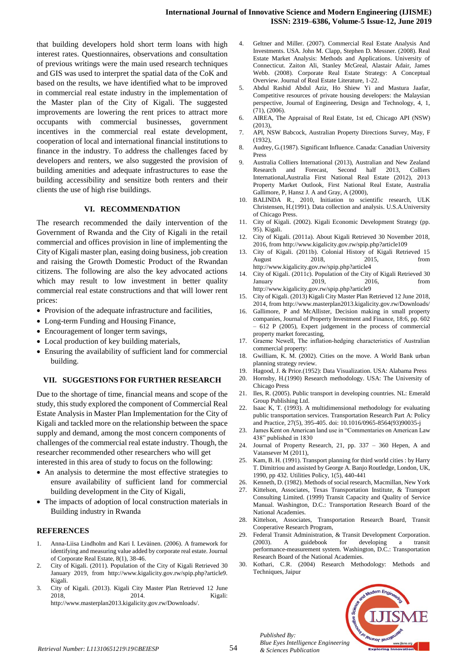that building developers hold short term loans with high interest rates. Questionnaires, observations and consultation of previous writings were the main used research techniques and GIS was used to interpret the spatial data of the CoK and based on the results, we have identified what to be improved in commercial real estate industry in the implementation of the Master plan of the City of Kigali. The suggested improvements are lowering the rent prices to attract more occupants with commercial businesses, government incentives in the commercial real estate development, cooperation of local and international financial institutions to finance in the industry. To address the challenges faced by developers and renters, we also suggested the provision of building amenities and adequate infrastructures to ease the building accessibility and sensitize both renters and their clients the use of high rise buildings.

#### **VI. RECOMMENDATION**

The research recommended the daily intervention of the Government of Rwanda and the City of Kigali in the retail commercial and offices provision in line of implementing the City of Kigali master plan, easing doing business, job creation and raising the Growth Domestic Product of the Rwandan citizens. The following are also the key advocated actions which may result to low investment in better quality commercial real estate constructions and that will lower rent prices:

- Provision of the adequate infrastructure and facilities,
- Long-term Funding and Housing Finance,
- Encouragement of longer term savings,
- Local production of key building materials,
- Ensuring the availability of sufficient land for commercial building.

#### **VII. SUGGESTIONS FOR FURTHER RESEARCH**

Due to the shortage of time, financial means and scope of the study, this study explored the component of Commercial Real Estate Analysis in Master Plan Implementation for the City of Kigali and tackled more on the relationship between the space supply and demand, among the most concern components of challenges of the commercial real estate industry. Though, the researcher recommended other researchers who will get interested in this area of study to focus on the following:

- An analysis to determine the most effective strategies to ensure availability of sufficient land for commercial building development in the City of Kigali,
- The impacts of adoption of local construction materials in Building industry in Rwanda

#### **REFERENCES**

- 1. Anna-Liisa Lindholm and Kari I. Leväinen. (2006). A framework for identifying and measuring value added by corporate real estate. Journal of Corporate Real Estate, 8(1), 38-46.
- 2. City of Kigali. (2011). Population of the City of Kigali Retrieved 30 January 2019, from http://www.kigalicity.gov.rw/spip.php?article9. Kigali.
- 3. City of Kigali. (2013). Kigali City Master Plan Retrieved 12 June 2018, 2014. Kigali: http://www.masterplan2013.kigalicity.gov.rw/Downloads/.
- 4. Geltner and Miller. (2007). Commercial Real Estate Analysis And Investments. USA. John M. Clapp, Stephen D. Messner. (2008). Real Estate Market Analysis: Methods and Applications. University of Connecticut. Zaiton Ali, Stanley McGreal, Alastair Adair, James Webb. (2008). Corporate Real Estate Strategy: A Conceptual Overview. Journal of Real Estate Literature, 1-22.
- 5. Abdul Rashid Abdul Aziz, Ho Shiew Yi and Mastura Jaafar, Competitive resources of private housing developers: the Malaysian perspective, Journal of Engineering, Design and Technology, 4, 1,  $(71)$ ,  $(2006)$ .
- 6. AIREA, The Appraisal of Real Estate, 1st ed, Chicago API (NSW) (2013),
- 7. API, NSW Babcock, Australian Property Directions Survey, May, F (1932),
- 8. Audrey, G.(1987). Significant Influence. Canada: Canadian University Press
- 9. Australia Colliers International (2013), Australian and New Zealand Research and Forecast, Second half 2013, Colliers International,Australia First National Real Estate (2012), 2013 Property Market Outlook, First National Real Estate, Australia Gallimore, P, Hansz J. A and Gray, A (2000),
- 10. BALINDA R., 2010, Initiation to scientific research, ULK Christensen, H.(1991). Data collection and analysis. U.S.A.University of Chicago Press.
- 11. City of Kigali. (2002). Kigali Economic Development Strategy (pp. 95). Kigali.
- 12. City of Kigali. (2011a). About Kigali Retrieved 30 November 2018, 2016, from http://www.kigalicity.gov.rw/spip.php?article109
- 13. City of Kigali. (2011b). Colonial History of Kigali Retrieved 15 August 2018, 2015, from http://www.kigalicity.gov.rw/spip.php?article4
- 14. City of Kigali. (2011c). Population of the City of Kigali Retrieved 30 January 2019, 2016, from http://www.kigalicity.gov.rw/spip.php?article9
- 15. City of Kigali. (2013) Kigali City Master Plan Retrieved 12 June 2018, 2014, from http://www.masterplan2013.kigalicity.gov.rw/Downloads/
- 16. Gallimore, P and McAllister, Decision making in small property companies, Journal of Property Investment and Finance, 18:6, pp. 602 – 612 P (2005), Expert judgement in the process of commercial property market forecasting,
- 17. Graeme Newell, The inflation-hedging characteristics of Australian commercial property:
- 18. Gwilliam, K. M. (2002). Cities on the move. A World Bank urban planning strategy review.
- 19. Hagood, J. & Price.(1952): Data Visualization. USA: Alabama Press
- 20. Hornsby, H.(1990) Research methodology. USA: The University of Chicago Press
- 21. Iles, R. (2005). Public transport in developing countries. NL: Emerald Group Publishing Ltd.
- 22. Isaac K, T. (1993). A multidimensional methodology for evaluating public transportation services. Transportation Research Part A: Policy and Practice, 27(5), 395-405. doi: 10.1016/0965-8564(93)90035-j
- 23. James Kent on American land use in "Commentaries on American Law 438" published in 1830
- 24. Journal of Property Research, 21, pp. 337 360 Hepen, A and Vatansever M (2011),
- 25. Kam, B. H. (1991). Transport planning for third world cities : by Harry T. Dimitriou and assisted by George A. Banjo Routledge, London, UK, 1990, pp 432. Utilities Policy, 1(5), 440-441
- 26. Kenneth, D. (1982). Methods of social research, Macmillan, New York
- 27. Kittelson, Associates, Texas Transportation Institute, & Transport Consulting Limited. (1999) Transit Capacity and Quality of Service Manual. Washington, D.C.: Transportation Research Board of the National Academies.
- 28. Kittelson, Associates, Transportation Research Board, Transit Cooperative Research Program,
- 29. Federal Transit Administration, & Transit Development Corporation. (2003). A guidebook for developing a transit performance-measurement system. Washington, D.C.: Transportation Research Board of the National Academies.
- 30. Kothari, C.R. (2004) Research Methodology: Methods and Techniques, Jaipur